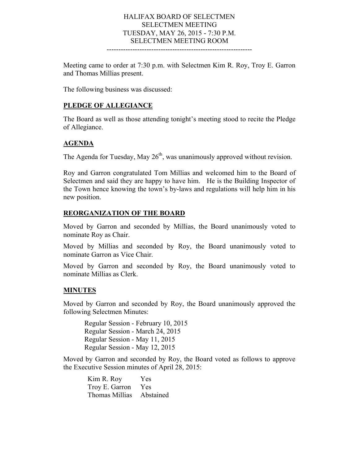## HALIFAX BOARD OF SELECTMEN SELECTMEN MEETING TUESDAY, MAY 26, 2015 - 7:30 P.M. SELECTMEN MEETING ROOM

--------------------------------------------------------------

Meeting came to order at 7:30 p.m. with Selectmen Kim R. Roy, Troy E. Garron and Thomas Millias present.

The following business was discussed:

#### **PLEDGE OF ALLEGIANCE**

The Board as well as those attending tonight's meeting stood to recite the Pledge of Allegiance.

### **AGENDA**

The Agenda for Tuesday, May  $26<sup>th</sup>$ , was unanimously approved without revision.

Roy and Garron congratulated Tom Millias and welcomed him to the Board of Selectmen and said they are happy to have him. He is the Building Inspector of the Town hence knowing the town's by-laws and regulations will help him in his new position.

#### **REORGANIZATION OF THE BOARD**

Moved by Garron and seconded by Millias, the Board unanimously voted to nominate Roy as Chair.

Moved by Millias and seconded by Roy, the Board unanimously voted to nominate Garron as Vice Chair.

Moved by Garron and seconded by Roy, the Board unanimously voted to nominate Millias as Clerk.

### **MINUTES**

Moved by Garron and seconded by Roy, the Board unanimously approved the following Selectmen Minutes:

Regular Session - February 10, 2015 Regular Session - March 24, 2015 Regular Session - May 11, 2015 Regular Session - May 12, 2015

Moved by Garron and seconded by Roy, the Board voted as follows to approve the Executive Session minutes of April 28, 2015:

> Kim R. Roy Yes Troy E. Garron Yes Thomas Millias Abstained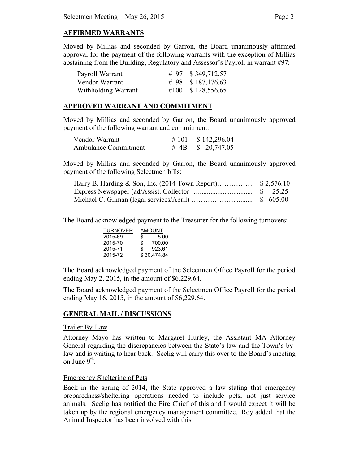# **AFFIRMED WARRANTS**

Moved by Millias and seconded by Garron, the Board unanimously affirmed approval for the payment of the following warrants with the exception of Millias abstaining from the Building, Regulatory and Assessor's Payroll in warrant #97:

| Payroll Warrant     | # 97 $$349,712.57$ |
|---------------------|--------------------|
| Vendor Warrant      | # 98 $$187,176.63$ |
| Withholding Warrant | #100 $$128,556.65$ |

### **APPROVED WARRANT AND COMMITMENT**

Moved by Millias and seconded by Garron, the Board unanimously approved payment of the following warrant and commitment:

| Vendor Warrant              | # 101 \ \ \$ 142,296.04 |
|-----------------------------|-------------------------|
| <b>Ambulance Commitment</b> | # 4B $$20,747.05$       |

Moved by Millias and seconded by Garron, the Board unanimously approved payment of the following Selectmen bills:

The Board acknowledged payment to the Treasurer for the following turnovers:

| AMOUNT                        |  |
|-------------------------------|--|
|                               |  |
|                               |  |
|                               |  |
|                               |  |
| 5.00<br>700.00<br>\$30,474.84 |  |

The Board acknowledged payment of the Selectmen Office Payroll for the period ending May 2, 2015, in the amount of \$6,229.64.

The Board acknowledged payment of the Selectmen Office Payroll for the period ending May 16, 2015, in the amount of \$6,229.64.

# **GENERAL MAIL / DISCUSSIONS**

### Trailer By-Law

Attorney Mayo has written to Margaret Hurley, the Assistant MA Attorney General regarding the discrepancies between the State's law and the Town's bylaw and is waiting to hear back. Seelig will carry this over to the Board's meeting on June  $9<sup>th</sup>$ .

### Emergency Sheltering of Pets

Back in the spring of 2014, the State approved a law stating that emergency preparedness/sheltering operations needed to include pets, not just service animals. Seelig has notified the Fire Chief of this and I would expect it will be taken up by the regional emergency management committee. Roy added that the Animal Inspector has been involved with this.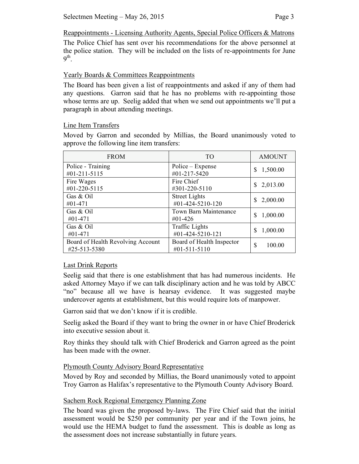The Police Chief has sent over his recommendations for the above personnel at the police station. They will be included on the lists of re-appointments for June  $9<sup>th</sup>$ .

# Yearly Boards & Committees Reappointments

The Board has been given a list of reappointments and asked if any of them had any questions. Garron said that he has no problems with re-appointing those whose terms are up. Seelig added that when we send out appointments we'll put a paragraph in about attending meetings.

## Line Item Transfers

Moved by Garron and seconded by Millias, the Board unanimously voted to approve the following line item transfers:

| <b>FROM</b>                       | T <sub>O</sub>            | <b>AMOUNT</b> |
|-----------------------------------|---------------------------|---------------|
| Police - Training                 | Police – Expense          | 1,500.00      |
| $\#01 - 211 - 5115$               | #01-217-5420              | \$            |
| Fire Wages                        | Fire Chief                | 2,013.00      |
| #01-220-5115                      | #301-220-5110             | \$            |
| Gas & Oil                         | <b>Street Lights</b>      | 2,000.00      |
| #01-471                           | #01-424-5210-120          | S.            |
| Gas & Oil                         | Town Barn Maintenance     | 1,000.00      |
| #01-471                           | $#01-426$                 | \$            |
| Gas & Oil                         | Traffic Lights            | 1,000.00      |
| #01-471                           | #01-424-5210-121          | S             |
| Board of Health Revolving Account | Board of Health Inspector | \$            |
| #25-513-5380                      | #01-511-5110              | 100.00        |

# Last Drink Reports

Seelig said that there is one establishment that has had numerous incidents. He asked Attorney Mayo if we can talk disciplinary action and he was told by ABCC "no" because all we have is hearsay evidence. It was suggested maybe undercover agents at establishment, but this would require lots of manpower.

Garron said that we don't know if it is credible.

Seelig asked the Board if they want to bring the owner in or have Chief Broderick into executive session about it.

Roy thinks they should talk with Chief Broderick and Garron agreed as the point has been made with the owner.

# Plymouth County Advisory Board Representative

Moved by Roy and seconded by Millias, the Board unanimously voted to appoint Troy Garron as Halifax's representative to the Plymouth County Advisory Board.

# Sachem Rock Regional Emergency Planning Zone

The board was given the proposed by-laws. The Fire Chief said that the initial assessment would be \$250 per community per year and if the Town joins, he would use the HEMA budget to fund the assessment. This is doable as long as the assessment does not increase substantially in future years.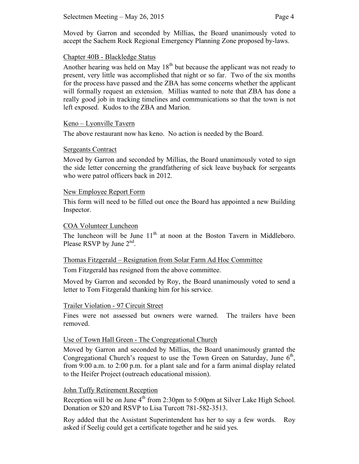Moved by Garron and seconded by Millias, the Board unanimously voted to accept the Sachem Rock Regional Emergency Planning Zone proposed by-laws.

## Chapter 40B - Blackledge Status

Another hearing was held on May  $18<sup>th</sup>$  but because the applicant was not ready to present, very little was accomplished that night or so far. Two of the six months for the process have passed and the ZBA has some concerns whether the applicant will formally request an extension. Millias wanted to note that ZBA has done a really good job in tracking timelines and communications so that the town is not left exposed. Kudos to the ZBA and Marion.

## Keno – Lyonville Tavern

The above restaurant now has keno. No action is needed by the Board.

## Sergeants Contract

Moved by Garron and seconded by Millias, the Board unanimously voted to sign the side letter concerning the grandfathering of sick leave buyback for sergeants who were patrol officers back in 2012.

## New Employee Report Form

This form will need to be filled out once the Board has appointed a new Building Inspector.

## COA Volunteer Luncheon

The luncheon will be June  $11<sup>th</sup>$  at noon at the Boston Tavern in Middleboro. Please RSVP by June  $2<sup>nd</sup>$ .

# Thomas Fitzgerald – Resignation from Solar Farm Ad Hoc Committee

Tom Fitzgerald has resigned from the above committee.

Moved by Garron and seconded by Roy, the Board unanimously voted to send a letter to Tom Fitzgerald thanking him for his service.

### Trailer Violation - 97 Circuit Street

Fines were not assessed but owners were warned. The trailers have been removed.

# Use of Town Hall Green - The Congregational Church

Moved by Garron and seconded by Millias, the Board unanimously granted the Congregational Church's request to use the Town Green on Saturday, June  $6<sup>th</sup>$ , from 9:00 a.m. to 2:00 p.m. for a plant sale and for a farm animal display related to the Heifer Project (outreach educational mission).

# John Tuffy Retirement Reception

Reception will be on June  $4<sup>th</sup>$  from 2:30pm to 5:00pm at Silver Lake High School. Donation or \$20 and RSVP to Lisa Turcott 781-582-3513.

Roy added that the Assistant Superintendent has her to say a few words. Roy asked if Seelig could get a certificate together and he said yes.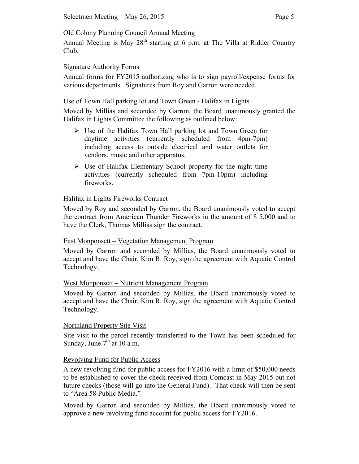## Old Colony Planning Council Annual Meeting

Annual Meeting is May  $28<sup>th</sup>$  starting at 6 p.m. at The Villa at Ridder Country Club.

## Signature Authority Forms

Annual forms for FY2015 authorizing who is to sign payroll/expense forms for various departments. Signatures from Roy and Garron were needed.

## Use of Town Hall parking lot and Town Green - Halifax in Lights

Moved by Millias and seconded by Garron, the Board unanimously granted the Halifax in Lights Committee the following as outlined below:

- Use of the Halifax Town Hall parking lot and Town Green for daytime activities (currently scheduled from 4pm-7pm) including access to outside electrical and water outlets for vendors, music and other apparatus.
- $\triangleright$  Use of Halifax Elementary School property for the night time activities (currently scheduled from 7pm-10pm) including fireworks.

# Halifax in Lights Fireworks Contract

Moved by Roy and seconded by Garron, the Board unanimously voted to accept the contract from American Thunder Fireworks in the amount of \$ 5,000 and to have the Clerk, Thomas Millias sign the contract.

# East Monponsett – Vegetation Management Program

Moved by Garron and seconded by Millias, the Board unanimously voted to accept and have the Chair, Kim R. Roy, sign the agreement with Aquatic Control Technology.

# West Monponsett – Nutrient Management Program

Moved by Garron and seconded by Millias, the Board unanimously voted to accept and have the Chair, Kim R. Roy, sign the agreement with Aquatic Control Technology.

# Northland Property Site Visit

Site visit to the parcel recently transferred to the Town has been scheduled for Sunday, June  $7<sup>th</sup>$  at 10 a.m.

# Revolving Fund for Public Access

A new revolving fund for public access for FY2016 with a limit of \$50,000 needs to be established to cover the check received from Comcast in May 2015 but not future checks (those will go into the General Fund). That check will then be sent to "Area 58 Public Media."

Moved by Garron and seconded by Millias, the Board unanimously voted to approve a new revolving fund account for public access for FY2016.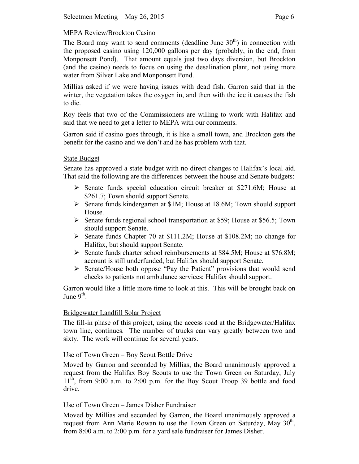# MEPA Review/Brockton Casino

The Board may want to send comments (deadline June  $30<sup>th</sup>$ ) in connection with the proposed casino using 120,000 gallons per day (probably, in the end, from Monponsett Pond). That amount equals just two days diversion, but Brockton (and the casino) needs to focus on using the desalination plant, not using more water from Silver Lake and Monponsett Pond.

Millias asked if we were having issues with dead fish. Garron said that in the winter, the vegetation takes the oxygen in, and then with the ice it causes the fish to die.

Roy feels that two of the Commissioners are willing to work with Halifax and said that we need to get a letter to MEPA with our comments.

Garron said if casino goes through, it is like a small town, and Brockton gets the benefit for the casino and we don't and he has problem with that.

## State Budget

Senate has approved a state budget with no direct changes to Halifax's local aid. That said the following are the differences between the house and Senate budgets:

- $\triangleright$  Senate funds special education circuit breaker at \$271.6M; House at \$261.7; Town should support Senate.
- $\triangleright$  Senate funds kindergarten at \$1M; House at 18.6M; Town should support House.
- $\triangleright$  Senate funds regional school transportation at \$59; House at \$56.5; Town should support Senate.
- $\triangleright$  Senate funds Chapter 70 at \$111.2M; House at \$108.2M; no change for Halifax, but should support Senate.
- $\triangleright$  Senate funds charter school reimbursements at \$84.5M; House at \$76.8M; account is still underfunded, but Halifax should support Senate.
- Senate/House both oppose "Pay the Patient" provisions that would send checks to patients not ambulance services; Halifax should support.

Garron would like a little more time to look at this. This will be brought back on June  $9<sup>th</sup>$ .

### Bridgewater Landfill Solar Project

The fill-in phase of this project, using the access road at the Bridgewater/Halifax town line, continues. The number of trucks can vary greatly between two and sixty. The work will continue for several years.

# Use of Town Green – Boy Scout Bottle Drive

Moved by Garron and seconded by Millias, the Board unanimously approved a request from the Halifax Boy Scouts to use the Town Green on Saturday, July  $11<sup>th</sup>$ , from 9:00 a.m. to 2:00 p.m. for the Boy Scout Troop 39 bottle and food drive.

# Use of Town Green – James Disher Fundraiser

Moved by Millias and seconded by Garron, the Board unanimously approved a request from Ann Marie Rowan to use the Town Green on Saturday, May  $30<sup>th</sup>$ , from 8:00 a.m. to 2:00 p.m. for a yard sale fundraiser for James Disher.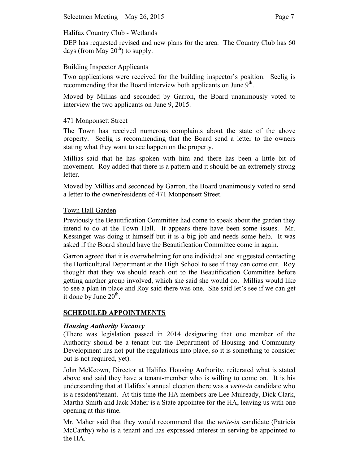# Halifax Country Club - Wetlands

DEP has requested revised and new plans for the area. The Country Club has 60 days (from May  $20^{th}$ ) to supply.

# Building Inspector Applicants

Two applications were received for the building inspector's position. Seelig is recommending that the Board interview both applicants on June  $9<sup>th</sup>$ .

Moved by Millias and seconded by Garron, the Board unanimously voted to interview the two applicants on June 9, 2015.

# 471 Monponsett Street

The Town has received numerous complaints about the state of the above property. Seelig is recommending that the Board send a letter to the owners stating what they want to see happen on the property.

Millias said that he has spoken with him and there has been a little bit of movement. Roy added that there is a pattern and it should be an extremely strong letter.

Moved by Millias and seconded by Garron, the Board unanimously voted to send a letter to the owner/residents of 471 Monponsett Street.

# Town Hall Garden

Previously the Beautification Committee had come to speak about the garden they intend to do at the Town Hall. It appears there have been some issues. Mr. Kessinger was doing it himself but it is a big job and needs some help. It was asked if the Board should have the Beautification Committee come in again.

Garron agreed that it is overwhelming for one individual and suggested contacting the Horticultural Department at the High School to see if they can come out. Roy thought that they we should reach out to the Beautification Committee before getting another group involved, which she said she would do. Millias would like to see a plan in place and Roy said there was one. She said let's see if we can get it done by June  $20<sup>th</sup>$ .

# **SCHEDULED APPOINTMENTS**

# *Housing Authority Vacancy*

(There was legislation passed in 2014 designating that one member of the Authority should be a tenant but the Department of Housing and Community Development has not put the regulations into place, so it is something to consider but is not required, yet).

John McKeown, Director at Halifax Housing Authority, reiterated what is stated above and said they have a tenant-member who is willing to come on. It is his understanding that at Halifax's annual election there was a *write-in* candidate who is a resident/tenant. At this time the HA members are Lee Mulready, Dick Clark, Martha Smith and Jack Maher is a State appointee for the HA, leaving us with one opening at this time.

Mr. Maher said that they would recommend that the *write-in* candidate (Patricia McCarthy) who is a tenant and has expressed interest in serving be appointed to the HA.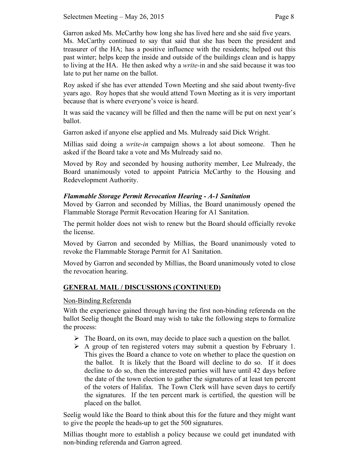Garron asked Ms. McCarthy how long she has lived here and she said five years. Ms. McCarthy continued to say that said that she has been the president and treasurer of the HA; has a positive influence with the residents; helped out this past winter; helps keep the inside and outside of the buildings clean and is happy to living at the HA. He then asked why a *write-*in and she said because it was too late to put her name on the ballot.

Roy asked if she has ever attended Town Meeting and she said about twenty-five years ago. Roy hopes that she would attend Town Meeting as it is very important because that is where everyone's voice is heard.

It was said the vacancy will be filled and then the name will be put on next year's ballot.

Garron asked if anyone else applied and Ms. Mulready said Dick Wright.

Millias said doing a *write-in* campaign shows a lot about someone. Then he asked if the Board take a vote and Ms Mulready said no.

Moved by Roy and seconded by housing authority member, Lee Mulready, the Board unanimously voted to appoint Patricia McCarthy to the Housing and Redevelopment Authority.

# *Flammable Storage Permit Revocation Hearing - A-1 Sanitation*

Moved by Garron and seconded by Millias, the Board unanimously opened the Flammable Storage Permit Revocation Hearing for A1 Sanitation.

The permit holder does not wish to renew but the Board should officially revoke the license.

Moved by Garron and seconded by Millias, the Board unanimously voted to revoke the Flammable Storage Permit for A1 Sanitation.

Moved by Garron and seconded by Millias, the Board unanimously voted to close the revocation hearing.

# **GENERAL MAIL / DISCUSSIONS (CONTINUED)**

# Non-Binding Referenda

With the experience gained through having the first non-binding referenda on the ballot Seelig thought the Board may wish to take the following steps to formalize the process:

- $\triangleright$  The Board, on its own, may decide to place such a question on the ballot.
- $\triangleright$  A group of ten registered voters may submit a question by February 1. This gives the Board a chance to vote on whether to place the question on the ballot. It is likely that the Board will decline to do so. If it does decline to do so, then the interested parties will have until 42 days before the date of the town election to gather the signatures of at least ten percent of the voters of Halifax. The Town Clerk will have seven days to certify the signatures. If the ten percent mark is certified, the question will be placed on the ballot.

Seelig would like the Board to think about this for the future and they might want to give the people the heads-up to get the 500 signatures.

Millias thought more to establish a policy because we could get inundated with non-binding referenda and Garron agreed.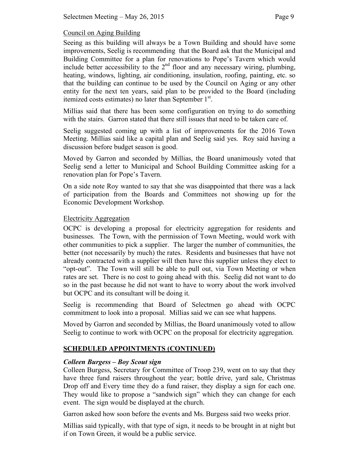# Council on Aging Building

Seeing as this building will always be a Town Building and should have some improvements, Seelig is recommending that the Board ask that the Municipal and Building Committee for a plan for renovations to Pope's Tavern which would include better accessibility to the 2<sup>nd</sup> floor and any necessary wiring, plumbing, heating, windows, lighting, air conditioning, insulation, roofing, painting, etc. so that the building can continue to be used by the Council on Aging or any other entity for the next ten years, said plan to be provided to the Board (including itemized costs estimates) no later than September 1<sup>st</sup>.

Millias said that there has been some configuration on trying to do something with the stairs. Garron stated that there still issues that need to be taken care of.

Seelig suggested coming up with a list of improvements for the 2016 Town Meeting. Millias said like a capital plan and Seelig said yes. Roy said having a discussion before budget season is good.

Moved by Garron and seconded by Millias, the Board unanimously voted that Seelig send a letter to Municipal and School Building Committee asking for a renovation plan for Pope's Tavern.

On a side note Roy wanted to say that she was disappointed that there was a lack of participation from the Boards and Committees not showing up for the Economic Development Workshop.

## Electricity Aggregation

OCPC is developing a proposal for electricity aggregation for residents and businesses. The Town, with the permission of Town Meeting, would work with other communities to pick a supplier. The larger the number of communities, the better (not necessarily by much) the rates. Residents and businesses that have not already contracted with a supplier will then have this supplier unless they elect to "opt-out". The Town will still be able to pull out, via Town Meeting or when rates are set. There is no cost to going ahead with this. Seelig did not want to do so in the past because he did not want to have to worry about the work involved but OCPC and its consultant will be doing it.

Seelig is recommending that Board of Selectmen go ahead with OCPC commitment to look into a proposal. Millias said we can see what happens.

Moved by Garron and seconded by Millias, the Board unanimously voted to allow Seelig to continue to work with OCPC on the proposal for electricity aggregation.

# **SCHEDULED APPOINTMENTS (CONTINUED)**

# *Colleen Burgess – Boy Scout sign*

Colleen Burgess, Secretary for Committee of Troop 239, went on to say that they have three fund raisers throughout the year; bottle drive, yard sale, Christmas Drop off and Every time they do a fund raiser, they display a sign for each one. They would like to propose a "sandwich sign" which they can change for each event. The sign would be displayed at the church.

Garron asked how soon before the events and Ms. Burgess said two weeks prior.

Millias said typically, with that type of sign, it needs to be brought in at night but if on Town Green, it would be a public service.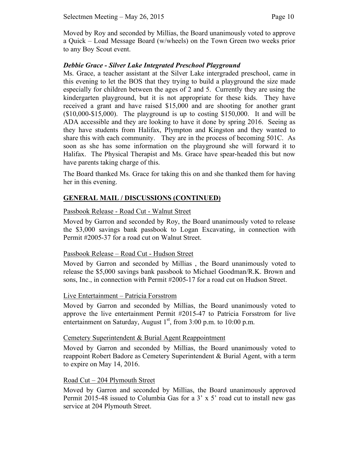Moved by Roy and seconded by Millias, the Board unanimously voted to approve a Quick – Load Message Board (w/wheels) on the Town Green two weeks prior to any Boy Scout event.

# *Debbie Grace - Silver Lake Integrated Preschool Playground*

Ms. Grace, a teacher assistant at the Silver Lake intergraded preschool, came in this evening to let the BOS that they trying to build a playground the size made especially for children between the ages of 2 and 5. Currently they are using the kindergarten playground, but it is not appropriate for these kids. They have received a grant and have raised \$15,000 and are shooting for another grant  $(10,000-15,000)$ . The playground is up to costing \$150,000. It and will be ADA accessible and they are looking to have it done by spring 2016. Seeing as they have students from Halifax, Plympton and Kingston and they wanted to share this with each community. They are in the process of becoming 501C. As soon as she has some information on the playground she will forward it to Halifax. The Physical Therapist and Ms. Grace have spear-headed this but now have parents taking charge of this.

The Board thanked Ms. Grace for taking this on and she thanked them for having her in this evening.

# **GENERAL MAIL / DISCUSSIONS (CONTINUED)**

## Passbook Release - Road Cut - Walnut Street

Moved by Garron and seconded by Roy, the Board unanimously voted to release the \$3,000 savings bank passbook to Logan Excavating, in connection with Permit #2005-37 for a road cut on Walnut Street.

### Passbook Release – Road Cut - Hudson Street

Moved by Garron and seconded by Millias , the Board unanimously voted to release the \$5,000 savings bank passbook to Michael Goodman/R.K. Brown and sons, Inc., in connection with Permit #2005-17 for a road cut on Hudson Street.

### Live Entertainment – Patricia Forsstrom

Moved by Garron and seconded by Millias, the Board unanimously voted to approve the live entertainment Permit #2015-47 to Patricia Forsstrom for live entertainment on Saturday, August  $1<sup>st</sup>$ , from 3:00 p.m. to 10:00 p.m.

### Cemetery Superintendent & Burial Agent Reappointment

Moved by Garron and seconded by Millias, the Board unanimously voted to reappoint Robert Badore as Cemetery Superintendent & Burial Agent, with a term to expire on May 14, 2016.

### Road Cut – 204 Plymouth Street

Moved by Garron and seconded by Millias, the Board unanimously approved Permit 2015-48 issued to Columbia Gas for a 3' x 5' road cut to install new gas service at 204 Plymouth Street.